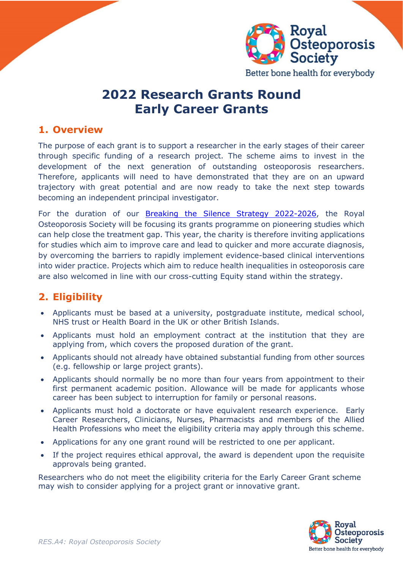

Better bone health for everybody

# **2022 Research Grants Round Early Career Grants**

### **1. Overview**

The purpose of each grant is to support a researcher in the early stages of their career through specific funding of a research project. The scheme aims to invest in the development of the next generation of outstanding osteoporosis researchers. Therefore, applicants will need to have demonstrated that they are on an upward trajectory with great potential and are now ready to take the next step towards becoming an independent principal investigator.

For the duration of our [Breaking the Silence Strategy 2022-2026,](https://theros.org.uk/latest-news/new-strategy-from-the-ros-intends-to-finally-break-the-silence-on-osteoporosis/) the Royal Osteoporosis Society will be focusing its grants programme on pioneering studies which can help close the treatment gap. This year, the charity is therefore inviting applications for studies which aim to improve care and lead to quicker and more accurate diagnosis, by overcoming the barriers to rapidly implement evidence-based clinical interventions into wider practice. Projects which aim to reduce health inequalities in osteoporosis care are also welcomed in line with our cross-cutting Equity stand within the strategy.

# **2. Eligibility**

- Applicants must be based at a university, postgraduate institute, medical school, NHS trust or Health Board in the UK or other British Islands.
- Applicants must hold an employment contract at the institution that they are applying from, which covers the proposed duration of the grant.
- Applicants should not already have obtained substantial funding from other sources (e.g. fellowship or large project grants).
- Applicants should normally be no more than four years from appointment to their first permanent academic position. Allowance will be made for applicants whose career has been subject to interruption for family or personal reasons.
- Applicants must hold a doctorate or have equivalent research experience. Early Career Researchers, Clinicians, Nurses, Pharmacists and members of the Allied Health Professions who meet the eligibility criteria may apply through this scheme.
- Applications for any one grant round will be restricted to one per applicant.
- If the project requires ethical approval, the award is dependent upon the requisite approvals being granted.

Researchers who do not meet the eligibility criteria for the Early Career Grant scheme may wish to consider applying for a project grant or innovative grant.